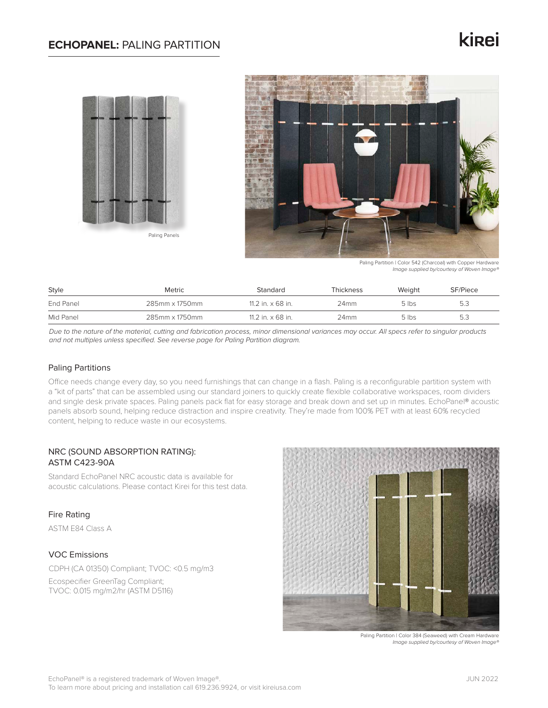### **ECHOPANEL:** PALING PARTITION

# kinei





Paling Partition | Color 542 (Charcoal) with Copper Hardware *Image supplied by/courtesy of Woven Image®*

| Style     | Metric         | Standard                 | Thickness | Weight  | SF/Piece |
|-----------|----------------|--------------------------|-----------|---------|----------|
| End Panel | 285mm x 1750mm | 11.2 in. $\times$ 68 in. | 24mm      | $5$ lbs | 5.3      |
| Mid Panel | 285mm x 1750mm | 11.2 in. $\times$ 68 in. | 24mm      | $5$ lbs | 5.3      |

*Due to the nature of the material, cutting and fabrication process, minor dimensional variances may occur. All specs refer to singular products and not multiples unless specified. See reverse page for Paling Partition diagram.*

### Paling Partitions

Office needs change every day, so you need furnishings that can change in a flash. Paling is a reconfigurable partition system with a "kit of parts" that can be assembled using our standard joiners to quickly create flexible collaborative workspaces, room dividers and single desk private spaces. Paling panels pack flat for easy storage and break down and set up in minutes. EchoPanel® acoustic panels absorb sound, helping reduce distraction and inspire creativity. They're made from 100% PET with at least 60% recycled content, helping to reduce waste in our ecosystems.

### NRC (SOUND ABSORPTION RATING): ASTM C423-90A

Standard EchoPanel NRC acoustic data is available for acoustic calculations. Please contact Kirei for this test data.

### Fire Rating

ASTM E84 Class A

### VOC Emissions

CDPH (CA 01350) Compliant; TVOC: <0.5 mg/m3 Ecospecifier GreenTag Compliant; TVOC: 0.015 mg/m2/hr (ASTM D5116)



Paling Partition | Color 384 (Seaweed) with Cream Hardware *Image supplied by/courtesy of Woven Image®*